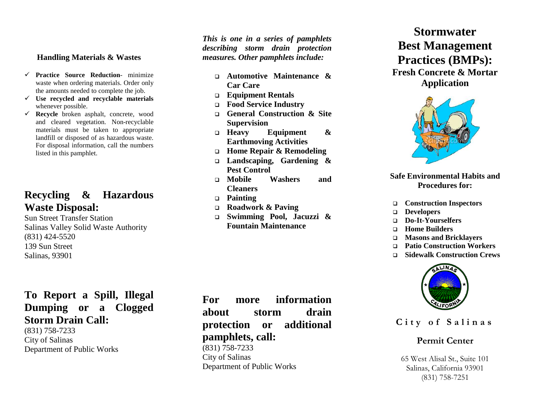#### **Handling Materials & Wastes**

- **Practice Source Reduction** minimize waste when ordering materials. Order only the amounts needed to complete the job.
- **Use recycled and recyclable materials**  whenever possible.
- **Recycle** broken asphalt, concrete, wood and cleared vegetation. Non -recyclable materials must be taken to appropriate landfill or disposed of as hazardous waste. For disposal information, call the numbers listed in this pamphlet.

## **Recycling & Hazardous Waste Disposal:**

Sun Street Transfer Station Salinas Valley Solid Waste Authority (831) 424 -5520 139 Sun Street Salinas, 93901

# **To Report a Spill, Illegal Dumping or a Clogged Storm Drain Call:**

(831) 758 -7233 City of Salinas Department of Public Works

*This is one in a series of pamphlets describing storm drain protection measures. Other pamphlets include:*

- **Automotive Maintenance & Car Care**
- **Equipment Rentals**
- **Food Service Industry**
- **General Construction & Site Supervision**
- **Heavy Equipment & Earthmoving Activities**
- **Home Repair & Remodeling**
- **Landscaping, Gardening & Pest Control**
- **Mobile Washers and Cleaners**
- **Painting**
- **Roadwork & Paving**
- **Swimming Pool, Jacuzzi & Fountain Maintenance**

**For more information about storm drain protection or additional pamphlets, call:**

(831) 758 -7233 City of Salinas Department of Public Works

# **Stormwater Best Management Practices (BMPs):**

**Fresh Concrete & Mortar Application**



#### **Safe Environmental Habits and Procedures for:**

- **Construction Inspectors**
- **Developers**
- **Do-It-Yourselfers**
- **Home Builders**
- **Masons and Bricklayers**
- **Patio Construction Workers**
- **Sidewalk Construction Crews**



**City of Salinas**

## **Permit Center**

65 West Alisal St., Suite 101 Salinas, California 93901 (831) 758 -7251